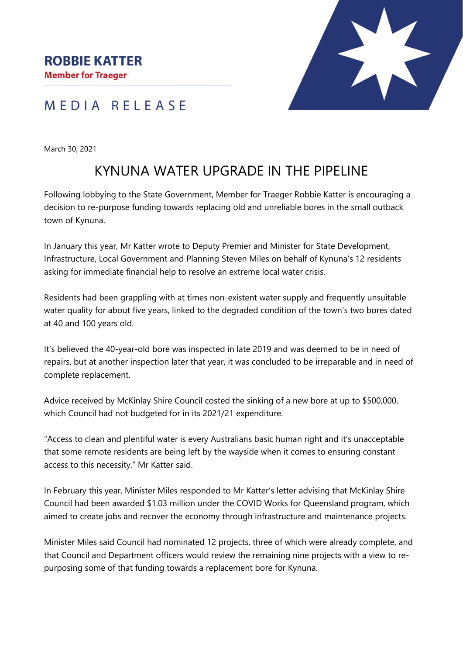## MEDIA RELEASE

March 30, 2021

## KYNUNA WATER UPGRADE IN THE PIPELINE

Following lobbying to the State Government, Member for Traeger Robbie Katter is encouraging a decision to re-purpose funding towards replacing old and unreliable bores in the small outback town of Kynuna.

In January this year, Mr Katter wrote to Deputy Premier and Minister for State Development, Infrastructure, Local Government and Planning Steven Miles on behalf of Kynuna's 12 residents asking for immediate financial help to resolve an extreme local water crisis.

Residents had been grappling with at times non-existent water supply and frequently unsuitable water quality for about five years, linked to the degraded condition of the town's two bores dated at 40 and 100 years old.

It's believed the 40-year-old bore was inspected in late 2019 and was deemed to be in need of repairs, but at another inspection later that year, it was concluded to be irreparable and in need of complete replacement.

Advice received by McKinlay Shire Council costed the sinking of a new bore at up to \$500,000, which Council had not budgeted for in its 2021/21 expenditure.

"Access to clean and plentiful water is every Australians basic human right and it's unacceptable that some remote residents are being left by the wayside when it comes to ensuring constant access to this necessity," Mr Katter said.

In February this year, Minister Miles responded to Mr Katter's letter advising that McKinlay Shire Council had been awarded \$1.03 million under the COVID Works for Queensland program, which aimed to create jobs and recover the economy through infrastructure and maintenance projects.

Minister Miles said Council had nominated 12 projects, three of which were already complete, and that Council and Department officers would review the remaining nine projects with a view to repurposing some of that funding towards a replacement bore for Kynuna.